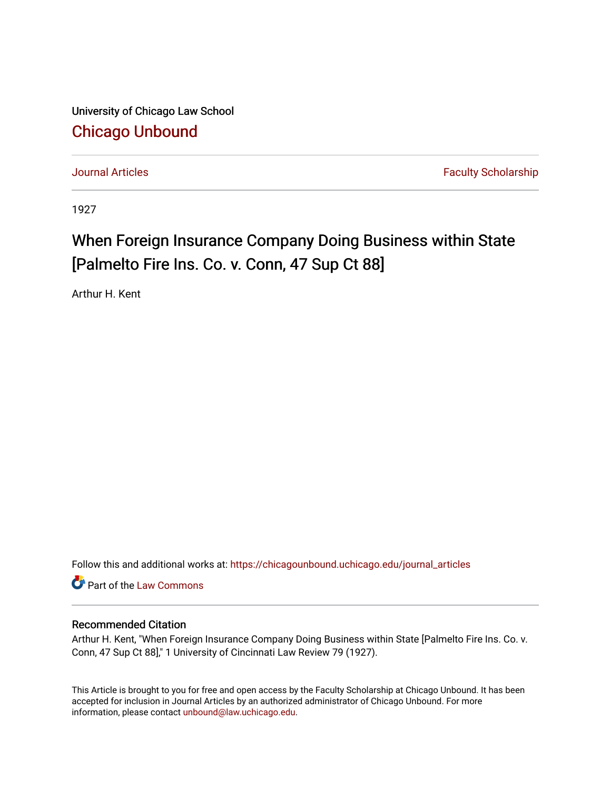University of Chicago Law School [Chicago Unbound](https://chicagounbound.uchicago.edu/)

[Journal Articles](https://chicagounbound.uchicago.edu/journal_articles) **Faculty Scholarship Journal Articles** 

1927

## When Foreign Insurance Company Doing Business within State [Palmelto Fire Ins. Co. v. Conn, 47 Sup Ct 88]

Arthur H. Kent

Follow this and additional works at: [https://chicagounbound.uchicago.edu/journal\\_articles](https://chicagounbound.uchicago.edu/journal_articles?utm_source=chicagounbound.uchicago.edu%2Fjournal_articles%2F9449&utm_medium=PDF&utm_campaign=PDFCoverPages) 

Part of the [Law Commons](http://network.bepress.com/hgg/discipline/578?utm_source=chicagounbound.uchicago.edu%2Fjournal_articles%2F9449&utm_medium=PDF&utm_campaign=PDFCoverPages)

## Recommended Citation

Arthur H. Kent, "When Foreign Insurance Company Doing Business within State [Palmelto Fire Ins. Co. v. Conn, 47 Sup Ct 88]," 1 University of Cincinnati Law Review 79 (1927).

This Article is brought to you for free and open access by the Faculty Scholarship at Chicago Unbound. It has been accepted for inclusion in Journal Articles by an authorized administrator of Chicago Unbound. For more information, please contact [unbound@law.uchicago.edu](mailto:unbound@law.uchicago.edu).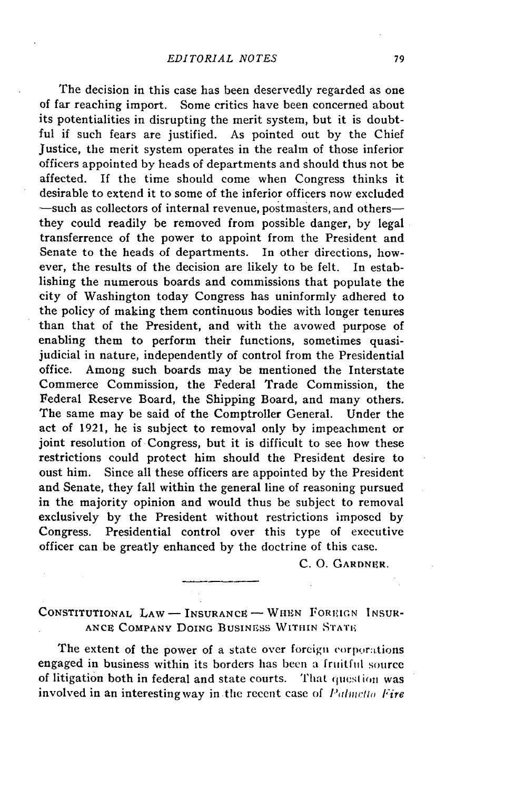The decision in this case has been deservedly regarded as one of far reaching import. Some critics have been concerned about its potentialities in disrupting the merit system, but it is doubtful if such fears are justified. As pointed out by the Chief Justice, the merit system operates in the realm of those inferior officers appointed by heads of departments and should thus not be affected. If the time should come when Congress thinks it desirable to extend it to some of the inferior officers now excluded -such as collectors of internal revenue, postmasters, and othersthey could readily be removed from possible danger, by legal transferrence of the power to appoint from the President and Senate to the heads of departments. In other directions, however, the results of the decision are likely to be felt. In establishing the numerous boards and commissions that populate the city of Washington today Congress has uninformly adhered to the policy of making them continuous bodies with longer tenures than that of the President, and with the avowed purpose of enabling them to perform their functions, sometimes quasijudicial in nature, independently of control from the Presidential office. Among such boards may be mentioned the Interstate Commerce Commission, the Federal Trade Commission, the Federal Reserve Board, the Shipping Board, and many others. The same may be said of the Comptroller General. Under the act of 1921, he is subject to removal only by impeachment or joint resolution of Congress, but it is difficult to see how these restrictions could protect him should the President desire to oust him. Since all these officers are appointed by the President and Senate, they fall within the general line of reasoning pursued in the majority opinion and would thus be subject to removal exclusively by the President without restrictions imposed by Congress. Presidential control over this type of executive officer can be greatly enhanced by the doctrine of this case.

C. **0.** GARDNER.

**CONSTITUTIONAL** LAW - INSURANCE - **WHEN** FOREIGN INSUR-**ANCE COMPANY DOING BUSINESS WITHIN STATE** 

The extent of the power of a state over foreign corporations engaged in business within its borders has been a fruitful source of litigation both in federal and state courts. That question was involved in an interesting way in the recent case of *Palmetto Fire*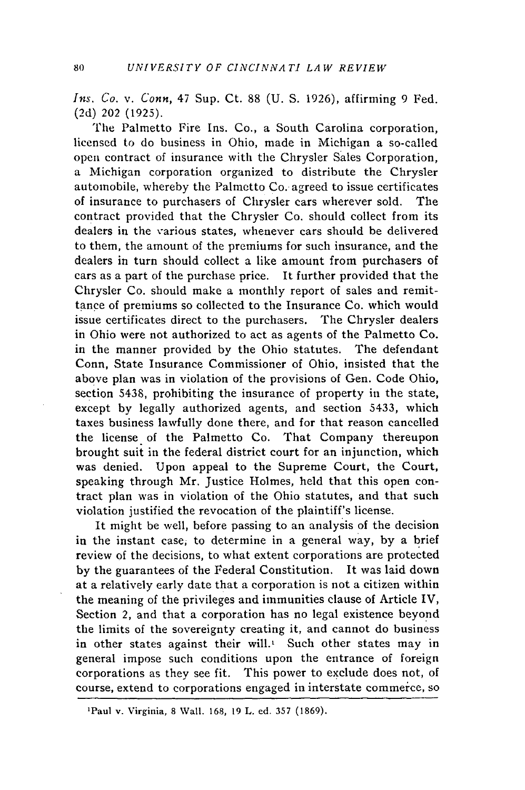*Ins. Co. v. Conn,* 47 Sup. Ct. 88 (U. **S.** 1926), affirming 9 Fed. (2d) 202 (1925).

The Palmetto Fire Ins. Co., a South Carolina corporation, licensed to do business in Ohio, made in Michigan a so-called open contract of insurance with the Chrysler Sales Corporation, a Michigan corporation organized to distribute the Chrysler automobile, whereby the Palmetto Co. agreed to issue certificates of insurance to purchasers of Chrysler cars wherever sold. The contract provided that the Chrysler Co. should collect from its dealers in the various states, whenever cars should be delivered to them, the amount of the premiums for such insurance, and the dealers in turn should collect a like amount from purchasers of cars as a part of the purchase price. It further provided that the Chrysler Co. should make a monthly report of sales and remittance of premiums so collected to the Insurance Co. which would issue certificates direct to the purchasers. The Chrysler dealers in Ohio were not authorized to act as agents of the Palmetto Co. in the manner provided by the Ohio statutes. The defendant Conn, State Insurance Commissioner of Ohio, insisted that the above plan was in violation of the provisions of Gen. Code Ohio, section 5438, prohibiting the insurance of property in the state, except by legally authorized agents, and section 5433, which taxes business lawfully done there, and for that reason cancelled the license of the Palmetto Co. That Company thereupon brought suit in the federal district court for an injunction, which was denied. Upon appeal to the Supreme Court, the Court, speaking through Mr. Justice Holmes, held that this open contract plan was in violation of the Ohio statutes, and that such violation justified the revocation of the plaintiff's license.

It might be well, before passing to an analysis of the decision in the instant case, to determine in a general way, by a brief review of the decisions, to what extent corporations are protected by the guarantees of the Federal Constitution. It was laid down at a relatively early date that a corporation is not a citizen within the meaning of the privileges and immunities clause of Article IV, Section 2, and that a corporation has no legal existence beyond the limits of the sovereignty creating it, and cannot do business in other states against their will. $\frac{1}{x}$  Such other states may in general impose such conditions upon the entrance of foreign corporations as they see fit. This power to exclude does not, of course, extend to corporations engaged in interstate commerce, so

<sup>&#</sup>x27;Paul v. Virginia, 8 Wall. 168, 19 L. ed. 357 (1869).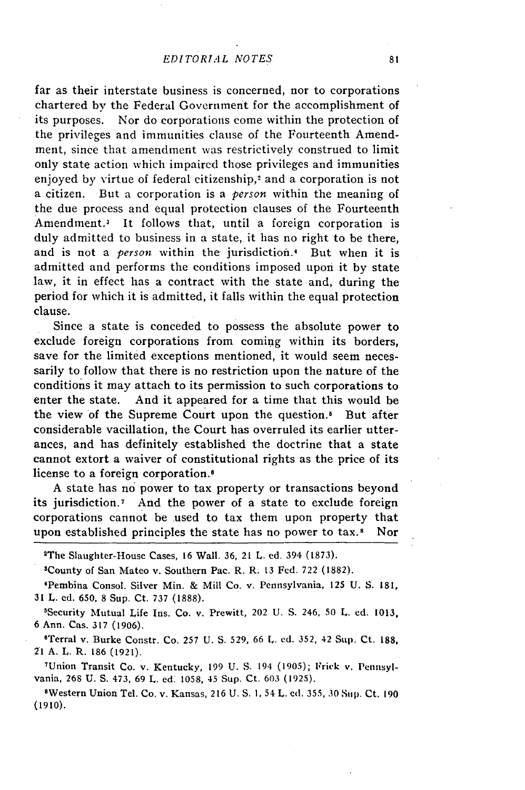far as their interstate business is concerned, nor to corporations chartered **by** the Federal Government for the accomplishment of its purposes. Nor do corporations come within the protection of the privileges and immunities clause of the Fourteenth Amendment, since that amendment was restrictively construed to limit only state action which impaired those privileges and immunities enjoyed by virtue of federal citizenship,<sup>2</sup> and a corporation is not a citizen. But a corporation is a *person* within the meaning of the due process and equal protection clauses of the Fourteenth Amendment.3 It follows that, until a foreign corporation is duly admitted to business in a state, it has no right to be there, and is not a *person* within the jurisdiction.<sup>4</sup> But when it is admitted and performs the conditions imposed upon it **by** state law, it in effect has a contract with the state and, during the period for which it is admitted, it falls within the equal protection clause.

Since a state is conceded to possess the absolute power to exclude foreign corporations from coming within its borders, save for the limited exceptions mentioned, it would seem necessarily to follow that there is no restriction upon the nature of the conditions it may attach to its permission to such corporations to enter the state. And it appeared for a time that this would be the view of the Supreme Court upon the question.' But after considerable vacillation, the Court has overruled its earlier utterances, and has definitely established the doctrine that a state cannot extort a waiver of constitutional rights as the price of its license to a foreign corporation.<sup>6</sup>

**A** state has no power to tax property or transactions beyond its jurisdiction.7 And the power of a state to exclude foreign corporations cannot be used to tax them upon property that upon established principles the state has no power to tax.<sup>8</sup> Nor

2The Slaughter-House Cases, **16** Wall. **36,** 21 L. **ed.** 394 **(1873).**

'County of San Mateo v. Southern Pac. R. R. **13** Fed. **722 (1882).**

'Pembina Consol. Silver **Min.** & Mill Co. v. Pennsylvania, 125 **U.** S. **181, 31** L. **ed. 650, 8** Sup. Ct. **737 (1888).**

'Security Mutual Life Ins. Co. v. Prewitt, 202 **U. S.** 246, **50 L.** ed. **1013, 6** Ann. Cas. **317 (1906).**

'Terral v. Burke Constr. Co. 257 U. **S.** 529, 66 L. ed. 352, 42 Sup. Ct. **188,** *21* **A.** L. R. **186** (1921).

7 Union Transit Co. v. Kentucky, 199 U. S. 194 (1905); Frick v. Pennsylvania, 268 U. **S.** 473, 69 L. **ed.** 1058, 45 Sup. Ct. 603 (1925).

8Western Union Tel. Co. v. Kansas, 216 U. S. **1,** 54 L. **cd.** 355, 30 Sup. Ct. 190 (1910).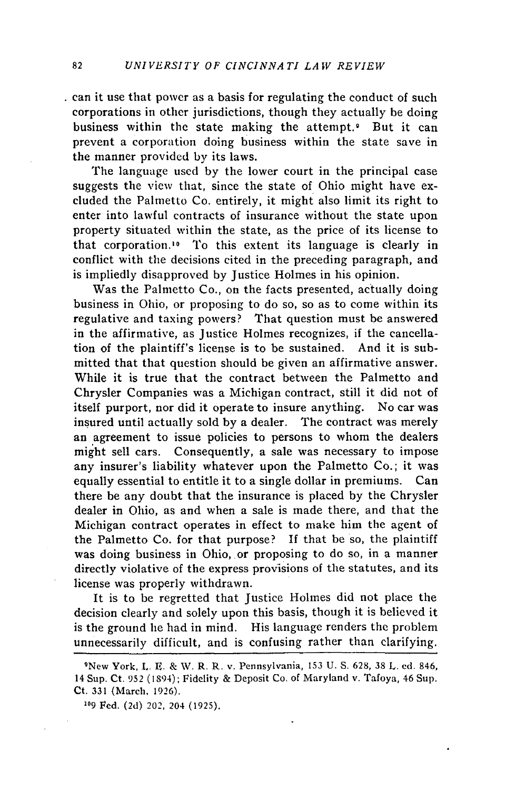can it use that power as a basis for regulating the conduct of such corporations in other jurisdictions, though they actually be doing business within the state making the attempt. But it can prevent a corporation doing business within the state save in the manner provided by its laws.

The language used by the lower court in the principal case suggests the view that, since the state of Ohio might have excluded the Palmetto Co. entirely, it might also limit its right to enter into lawful contracts of insurance without the state upon property situated within the state, as the price of its license to that corporation.1o To this extent its language is clearly in conflict with the decisions cited in the preceding paragraph, and is impliedly disapproved by Justice Holmes in his opinion.

Was the Palmetto Co., on the facts presented, actually doing business in Ohio, or proposing to do so, so as to come within its regulative and taxing powers? That question must be answered in the affirmative, as Justice Holmes recognizes, if the cancellation of the plaintiff's license is to be sustained. And it is submitted that that question should be given an affirmative answer. While it is true that the contract between the Palmetto and Chrysler Companies was a Michigan contract, still it did not of itself purport, nor did it operate to insure anything. No car was insured until actually sold by a dealer. The contract was merely an agreement to issue policies to persons to whom the dealers might sell cars. Consequently, a sale was necessary to impose any insurer's liability whatever upon the Palmetto Co.; it was equally essential to entitle it to a single dollar in premiums. Can there be any doubt that the insurance is placed by the Chrysler dealer in Ohio, as and when a sale is made there, and that the Michigan contract operates in effect to make him the agent of the Palmetto Co. for that purpose? If that be so, the plaintiff was doing business in Ohio, or proposing to do so, in a manner directly violative of the express provisions of the statutes, and its license was properly withdrawn.

It is to be regretted that Justice Holmes did not place the decision clearly and solely upon this basis, though it is believed it is the ground he had in mind. His language renders the problem unnecessarily difficult, and is confusing rather than clarifying.

<sup>&</sup>lt;sup>9</sup>New York, L. E. & W. R. R. v. Pennsylvania, 153 U. S. 628, 38 L. ed. 846, 14 Sup. Ct. 952 (1894); Fidelity & Deposit Co. of Maryland v. Tafoya, 46 Sup. Ct. 331 (March, 1926).

**<sup>109</sup>** Fed. (2d) 202, 204 (1925).